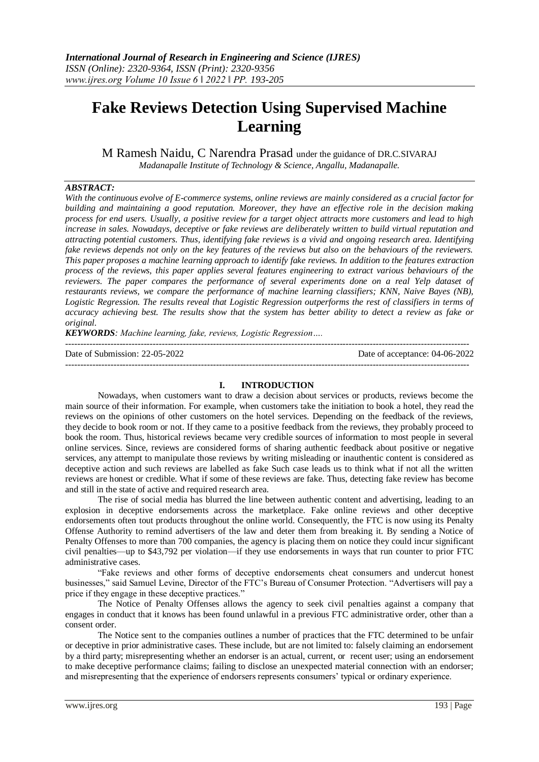# **Fake Reviews Detection Using Supervised Machine Learning**

M Ramesh Naidu, C Narendra Prasad under the guidance of DR.C.SIVARAJ *Madanapalle Institute of Technology & Science, Angallu, Madanapalle.*

# *ABSTRACT:*

*With the continuous evolve of E-commerce systems, online reviews are mainly considered as a crucial factor for building and maintaining a good reputation. Moreover, they have an effective role in the decision making process for end users. Usually, a positive review for a target object attracts more customers and lead to high increase in sales. Nowadays, deceptive or fake reviews are deliberately written to build virtual reputation and attracting potential customers. Thus, identifying fake reviews is a vivid and ongoing research area. Identifying fake reviews depends not only on the key features of the reviews but also on the behaviours of the reviewers. This paper proposes a machine learning approach to identify fake reviews. In addition to the features extraction process of the reviews, this paper applies several features engineering to extract various behaviours of the reviewers. The paper compares the performance of several experiments done on a real Yelp dataset of restaurants reviews, we compare the performance of machine learning classifiers; KNN, Naive Bayes (NB),*  Logistic Regression. The results reveal that Logistic Regression outperforms the rest of classifiers in terms of *accuracy achieving best. The results show that the system has better ability to detect a review as fake or original.* 

*KEYWORDS: Machine learning, fake, reviews, Logistic Regression….*

Date of Submission: 22-05-2022 Date of acceptance: 04-06-2022

--------------------------------------------------------------------------------------------------------------------------------------

## **I. INTRODUCTION**

--------------------------------------------------------------------------------------------------------------------------------------

Nowadays, when customers want to draw a decision about services or products, reviews become the main source of their information. For example, when customers take the initiation to book a hotel, they read the reviews on the opinions of other customers on the hotel services. Depending on the feedback of the reviews, they decide to book room or not. If they came to a positive feedback from the reviews, they probably proceed to book the room. Thus, historical reviews became very credible sources of information to most people in several online services. Since, reviews are considered forms of sharing authentic feedback about positive or negative services, any attempt to manipulate those reviews by writing misleading or inauthentic content is considered as deceptive action and such reviews are labelled as fake Such case leads us to think what if not all the written reviews are honest or credible. What if some of these reviews are fake. Thus, detecting fake review has become and still in the state of active and required research area.

The rise of social media has blurred the line between authentic content and advertising, leading to an explosion in deceptive endorsements across the marketplace. Fake online reviews and other deceptive endorsements often tout products throughout the online world. Consequently, the FTC is now using its Penalty Offense Authority to remind advertisers of the law and deter them from breaking it. By sending a [Notice of](https://www.ftc.gov/system/files/attachments/penalty-offenses-concerning-endorsements/npo_endorsement_template_letter.pdf)  [Penalty Offenses](https://www.ftc.gov/system/files/attachments/penalty-offenses-concerning-endorsements/npo_endorsement_template_letter.pdf) to more than 700 companies, the agency is placing them on notice they could incur significant civil penalties—up to \$43,792 per violation—if they use endorsements in ways that run counter to prior FTC administrative cases.

"Fake reviews and other forms of deceptive endorsements cheat consumers and undercut honest businesses," said Samuel Levine, Director of the FTC's Bureau of Consumer Protection. "Advertisers will pay a price if they engage in these deceptive practices."

The Notice of Penalty Offenses allows the agency to seek civil penalties against a company that engages in conduct that it knows has been found unlawful in a previous FTC administrative order, other than a consent order.

The Notice sent to the companies outlines a number of practices that the FTC determined to be unfair or deceptive in prior administrative cases. These include, but are not limited to: falsely claiming an endorsement by a third party; misrepresenting whether an endorser is an actual, current, or recent user; using an endorsement to make deceptive performance claims; failing to disclose an unexpected material connection with an endorser; and misrepresenting that the experience of endorsers represents consumers' typical or ordinary experience.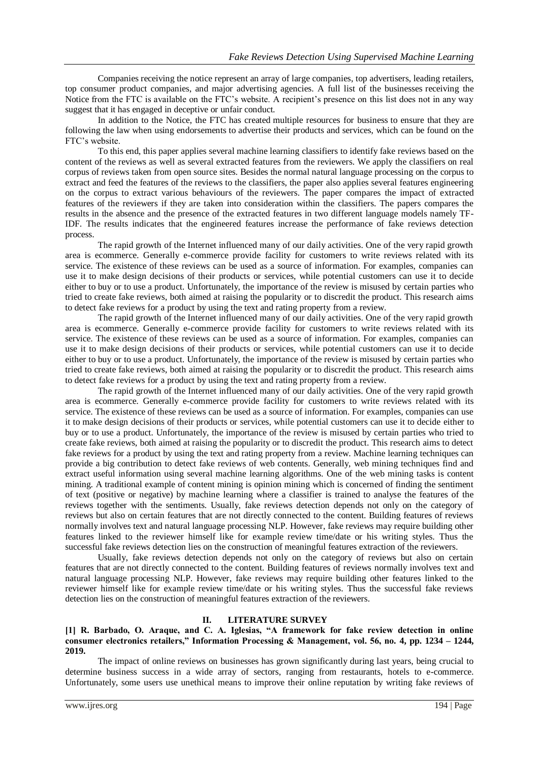Companies receiving the notice represent an array of large companies, top advertisers, leading retailers, top consumer product companies, and major advertising agencies. A full list of the businesses [receiving the](https://www.ftc.gov/system/files/attachments/penalty-offenses-concerning-endorsements/list-recipients-endorsement-notice.pdf)  [Notice](https://www.ftc.gov/system/files/attachments/penalty-offenses-concerning-endorsements/list-recipients-endorsement-notice.pdf) from the FTC is available on the FTC's website. A recipient's presence on this list does not in any way suggest that it has engaged in deceptive or unfair conduct.

In addition to the Notice, the FTC has created [multiple resources for business](https://ftc.gov/endorsements) to ensure that they are following the law when using endorsements to advertise their products and services, which can be found on the FTC's website.

To this end, this paper applies several machine learning classifiers to identify fake reviews based on the content of the reviews as well as several extracted features from the reviewers. We apply the classifiers on real corpus of reviews taken from open source sites. Besides the normal natural language processing on the corpus to extract and feed the features of the reviews to the classifiers, the paper also applies several features engineering on the corpus to extract various behaviours of the reviewers. The paper compares the impact of extracted features of the reviewers if they are taken into consideration within the classifiers. The papers compares the results in the absence and the presence of the extracted features in two different language models namely TF-IDF. The results indicates that the engineered features increase the performance of fake reviews detection process.

The rapid growth of the Internet influenced many of our daily activities. One of the very rapid growth area is ecommerce. Generally e-commerce provide facility for customers to write reviews related with its service. The existence of these reviews can be used as a source of information. For examples, companies can use it to make design decisions of their products or services, while potential customers can use it to decide either to buy or to use a product. Unfortunately, the importance of the review is misused by certain parties who tried to create fake reviews, both aimed at raising the popularity or to discredit the product. This research aims to detect fake reviews for a product by using the text and rating property from a review.

The rapid growth of the Internet influenced many of our daily activities. One of the very rapid growth area is ecommerce. Generally e-commerce provide facility for customers to write reviews related with its service. The existence of these reviews can be used as a source of information. For examples, companies can use it to make design decisions of their products or services, while potential customers can use it to decide either to buy or to use a product. Unfortunately, the importance of the review is misused by certain parties who tried to create fake reviews, both aimed at raising the popularity or to discredit the product. This research aims to detect fake reviews for a product by using the text and rating property from a review.

The rapid growth of the Internet influenced many of our daily activities. One of the very rapid growth area is ecommerce. Generally e-commerce provide facility for customers to write reviews related with its service. The existence of these reviews can be used as a source of information. For examples, companies can use it to make design decisions of their products or services, while potential customers can use it to decide either to buy or to use a product. Unfortunately, the importance of the review is misused by certain parties who tried to create fake reviews, both aimed at raising the popularity or to discredit the product. This research aims to detect fake reviews for a product by using the text and rating property from a review. Machine learning techniques can provide a big contribution to detect fake reviews of web contents. Generally, web mining techniques find and extract useful information using several machine learning algorithms. One of the web mining tasks is content mining. A traditional example of content mining is opinion mining which is concerned of finding the sentiment of text (positive or negative) by machine learning where a classifier is trained to analyse the features of the reviews together with the sentiments. Usually, fake reviews detection depends not only on the category of reviews but also on certain features that are not directly connected to the content. Building features of reviews normally involves text and natural language processing NLP. However, fake reviews may require building other features linked to the reviewer himself like for example review time/date or his writing styles. Thus the successful fake reviews detection lies on the construction of meaningful features extraction of the reviewers.

Usually, fake reviews detection depends not only on the category of reviews but also on certain features that are not directly connected to the content. Building features of reviews normally involves text and natural language processing NLP. However, fake reviews may require building other features linked to the reviewer himself like for example review time/date or his writing styles. Thus the successful fake reviews detection lies on the construction of meaningful features extraction of the reviewers.

# **II. LITERATURE SURVEY**

# **[1] R. Barbado, O. Araque, and C. A. Iglesias, "A framework for fake review detection in online consumer electronics retailers," Information Processing & Management, vol. 56, no. 4, pp. 1234 – 1244, 2019.**

The impact of online reviews on businesses has grown significantly during last years, being crucial to determine business success in a wide array of sectors, ranging from restaurants, hotels to e-commerce. Unfortunately, some users use unethical means to improve their online reputation by writing fake reviews of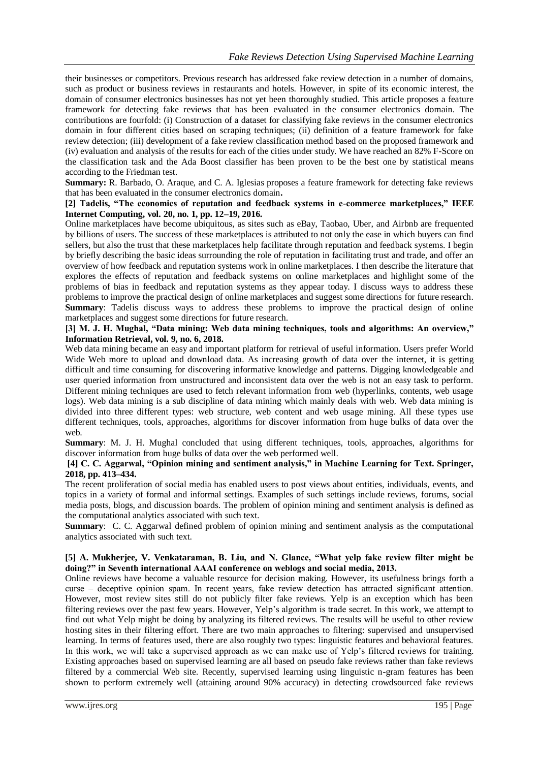their businesses or competitors. Previous research has addressed fake review detection in a number of domains, such as product or business reviews in restaurants and hotels. However, in spite of its economic interest, the domain of consumer electronics businesses has not yet been thoroughly studied. This article proposes a feature framework for detecting fake reviews that has been evaluated in the consumer electronics domain. The contributions are fourfold: (i) Construction of a dataset for classifying fake reviews in the consumer electronics domain in four different cities based on scraping techniques; (ii) definition of a feature framework for fake review detection; (iii) development of a fake review classification method based on the proposed framework and (iv) evaluation and analysis of the results for each of the cities under study. We have reached an 82% F-Score on the classification task and the Ada Boost classifier has been proven to be the best one by statistical means according to the Friedman test.

**Summary:** R. Barbado, O. Araque, and C. A. Iglesias proposes a feature framework for detecting fake reviews that has been evaluated in the consumer electronics domain**.**

# **[2] Tadelis, "The economics of reputation and feedback systems in e-commerce marketplaces," IEEE Internet Computing, vol. 20, no. 1, pp. 12–19, 2016.**

Online marketplaces have become ubiquitous, as sites such as eBay, Taobao, Uber, and Airbnb are frequented by billions of users. The success of these marketplaces is attributed to not only the ease in which buyers can find sellers, but also the trust that these marketplaces help facilitate through reputation and feedback systems. I begin by briefly describing the basic ideas surrounding the role of reputation in facilitating trust and trade, and offer an overview of how feedback and reputation systems work in online marketplaces. I then describe the literature that explores the effects of reputation and feedback systems on online marketplaces and highlight some of the problems of bias in feedback and reputation systems as they appear today. I discuss ways to address these problems to improve the practical design of online marketplaces and suggest some directions for future research. **Summary**: Tadelis discuss ways to address these problems to improve the practical design of online marketplaces and suggest some directions for future research.

# **[3] M. J. H. Mughal, "Data mining: Web data mining techniques, tools and algorithms: An overview," Information Retrieval, vol. 9, no. 6, 2018.**

Web data mining became an easy and important platform for retrieval of useful information. Users prefer World Wide Web more to upload and download data. As increasing growth of data over the internet, it is getting difficult and time consuming for discovering informative knowledge and patterns. Digging knowledgeable and user queried information from unstructured and inconsistent data over the web is not an easy task to perform. Different mining techniques are used to fetch relevant information from web (hyperlinks, contents, web usage logs). Web data mining is a sub discipline of data mining which mainly deals with web. Web data mining is divided into three different types: web structure, web content and web usage mining. All these types use different techniques, tools, approaches, algorithms for discover information from huge bulks of data over the web.

**Summary**: M. J. H. Mughal concluded that using different techniques, tools, approaches, algorithms for discover information from huge bulks of data over the web performed well.

# **[4] C. C. Aggarwal, "Opinion mining and sentiment analysis," in Machine Learning for Text. Springer, 2018, pp. 413–434.**

The recent proliferation of social media has enabled users to post views about entities, individuals, events, and topics in a variety of formal and informal settings. Examples of such settings include reviews, forums, social media posts, blogs, and discussion boards. The problem of opinion mining and sentiment analysis is defined as the computational analytics associated with such text.

**Summary**: C. C. Aggarwal defined problem of opinion mining and sentiment analysis as the computational analytics associated with such text.

## **[5] A. Mukherjee, V. Venkataraman, B. Liu, and N. Glance, "What yelp fake review filter might be doing?" in Seventh international AAAI conference on weblogs and social media, 2013.**

Online reviews have become a valuable resource for decision making. However, its usefulness brings forth a curse – deceptive opinion spam. In recent years, fake review detection has attracted significant attention. However, most review sites still do not publicly filter fake reviews. Yelp is an exception which has been filtering reviews over the past few years. However, Yelp's algorithm is trade secret. In this work, we attempt to find out what Yelp might be doing by analyzing its filtered reviews. The results will be useful to other review hosting sites in their filtering effort. There are two main approaches to filtering: supervised and unsupervised learning. In terms of features used, there are also roughly two types: linguistic features and behavioral features. In this work, we will take a supervised approach as we can make use of Yelp's filtered reviews for training. Existing approaches based on supervised learning are all based on pseudo fake reviews rather than fake reviews filtered by a commercial Web site. Recently, supervised learning using linguistic n-gram features has been shown to perform extremely well (attaining around 90% accuracy) in detecting crowdsourced fake reviews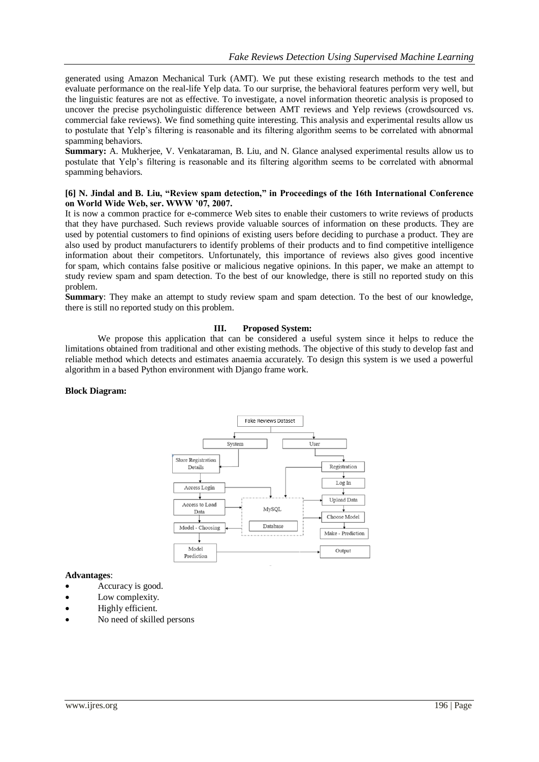generated using Amazon Mechanical Turk (AMT). We put these existing research methods to the test and evaluate performance on the real-life Yelp data. To our surprise, the behavioral features perform very well, but the linguistic features are not as effective. To investigate, a novel information theoretic analysis is proposed to uncover the precise psycholinguistic difference between AMT reviews and Yelp reviews (crowdsourced vs. commercial fake reviews). We find something quite interesting. This analysis and experimental results allow us to postulate that Yelp's filtering is reasonable and its filtering algorithm seems to be correlated with abnormal spamming behaviors.

**Summary:** A. Mukherjee, V. Venkataraman, B. Liu, and N. Glance analysed experimental results allow us to postulate that Yelp's filtering is reasonable and its filtering algorithm seems to be correlated with abnormal spamming behaviors.

# **[6] N. Jindal and B. Liu, "Review spam detection," in Proceedings of the 16th International Conference on World Wide Web, ser. WWW '07, 2007.**

It is now a common practice for e-commerce Web sites to enable their customers to write reviews of products that they have purchased. Such reviews provide valuable sources of information on these products. They are used by potential customers to find opinions of existing users before deciding to purchase a product. They are also used by product manufacturers to identify problems of their products and to find competitive intelligence information about their competitors. Unfortunately, this importance of reviews also gives good incentive for spam, which contains false positive or malicious negative opinions. In this paper, we make an attempt to study review spam and spam detection. To the best of our knowledge, there is still no reported study on this problem.

**Summary**: They make an attempt to study review spam and spam detection. To the best of our knowledge, there is still no reported study on this problem.

# **III. Proposed System:**

We propose this application that can be considered a useful system since it helps to reduce the limitations obtained from traditional and other existing methods. The objective of this study to develop fast and reliable method which detects and estimates anaemia accurately. To design this system is we used a powerful algorithm in a based Python environment with Django frame work.

# **Block Diagram:**



# **Advantages**:

- Accuracy is good.
- Low complexity.
- Highly efficient.
- No need of skilled persons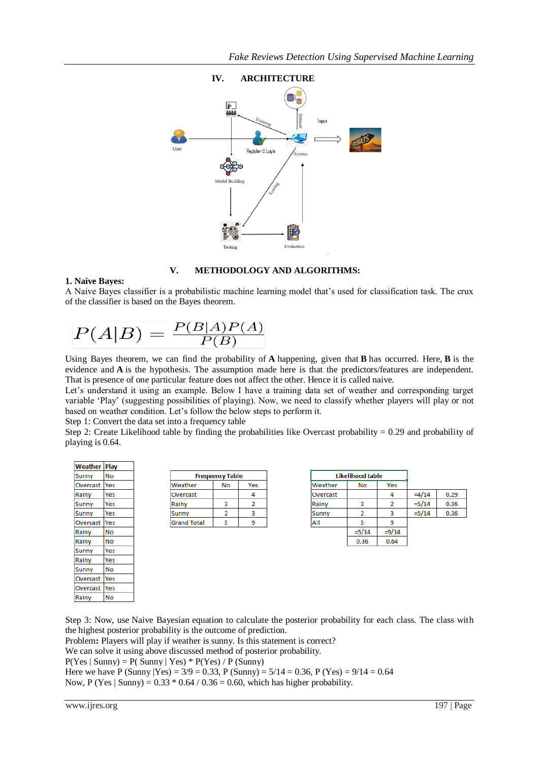

# **V. METHODOLOGY AND ALGORITHMS:**

## **1. Naive Bayes:**

A Naive Bayes classifier is a probabilistic machine learning model that's used for classification task. The crux of the classifier is based on the Bayes theorem.

$$
P(A|B) = \frac{P(B|A)P(A)}{P(B)}
$$

Using Bayes theorem, we can find the probability of **A** happening, given that **B** has occurred. Here, **B** is the evidence and **A** is the hypothesis. The assumption made here is that the predictors/features are independent. That is presence of one particular feature does not affect the other. Hence it is called naive.

Let's understand it using an example. Below I have a training data set of weather and corresponding target variable 'Play' (suggesting possibilities of playing). Now, we need to classify whether players will play or not based on weather condition. Let's follow the below steps to perform it.

Step 1: Convert the data set into a frequency table

Step 2: Create Likelihood table by finding the probabilities like Overcast probability  $= 0.29$  and probability of playing is 0.64.

| Weather  | Play |
|----------|------|
| Sunny    | No   |
| Overcast | Yes  |
| Rainy    | Yes  |
| Sunny    | Yes  |
| Sunny    | Yes  |
| Overcast | Yes  |
| Rainy    | No   |
| Rainy    | No   |
| Sunny    | Yes  |
| Rainy    | Yes  |
| Sunny    | No   |
| Overcast | Yes  |
| Overcast | Yes  |
| Rainy    | No   |

| <b>Frequency Table</b> |    |     |  |  |  |
|------------------------|----|-----|--|--|--|
| Weather                | No | Yes |  |  |  |
| Overcast               |    |     |  |  |  |
| Rainy                  |    |     |  |  |  |
| Sunny                  |    | ٩   |  |  |  |
| <b>Grand Total</b>     |    |     |  |  |  |

|          | <b>Likelihood table</b> |          |         |      |
|----------|-------------------------|----------|---------|------|
| Weather  | No                      | Yes      |         |      |
| Overcast |                         |          | =4/14   | 0.29 |
| Rainy    | ٩                       |          | $=5/14$ | 0.36 |
| Sunny    | 2                       | 3        | $=5/14$ | 0.36 |
| Αll      |                         |          |         |      |
|          | $=5/14$                 | $= 9/14$ |         |      |
|          | 0.36                    | 0.64     |         |      |

Step 3: Now, use [Naive Bayesian](https://courses.analyticsvidhya.com/courses/naive-bayes?utm_source=blog&utm_medium=naive-bayes-explained) equation to calculate the posterior probability for each class. The class with the highest posterior probability is the outcome of prediction.

Problem**:** Players will play if weather is sunny. Is this statement is correct?

We can solve it using above discussed method of posterior probability.

 $P(Yes | Sunny) = P(Sunny | Yes) * P(Yes) / P(Sunny)$ 

Here we have P (Sunny  $|Yes$ ) = 3/9 = 0.33, P (Sunny) = 5/14 = 0.36, P (Yes) = 9/14 = 0.64 Now, P (Yes  $|$  Sunny) = 0.33  $*$  0.64 / 0.36 = 0.60, which has higher probability.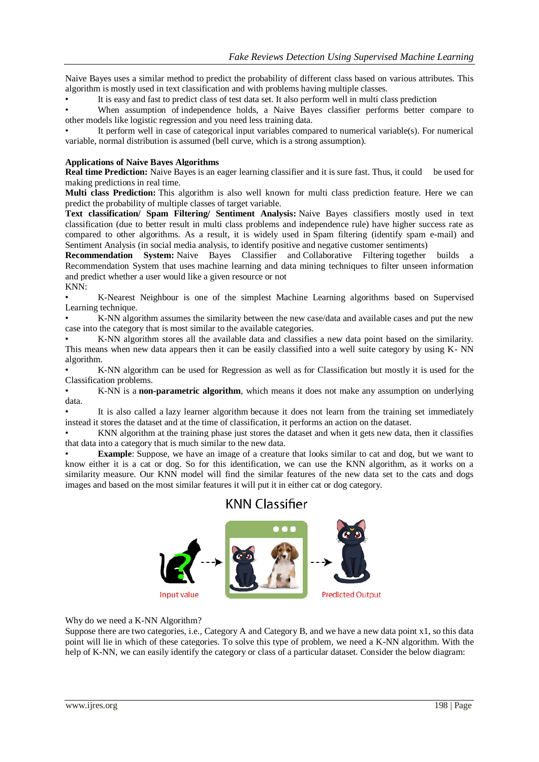Naive Bayes uses a similar method to predict the probability of different class based on various attributes. This algorithm is mostly used in text classification and with problems having multiple classes.

• It is easy and fast to predict class of test data set. It also perform well in multi class prediction

When assumption of independence holds, a Naive Bayes classifier performs better compare to other models like logistic regression and you need less training data.

It perform well in case of categorical input variables compared to numerical variable(s). For numerical variable, normal distribution is assumed (bell curve, which is a strong assumption).

# **Applications of Naive Bayes Algorithms**

**Real time Prediction:** Naive Bayes is an eager learning classifier and it is sure fast. Thus, it could be used for making predictions in real time.

**Multi class Prediction:** This algorithm is also well known for multi class prediction feature. Here we can predict the probability of multiple classes of target variable.

**Text classification/ Spam Filtering/ Sentiment Analysis:** Naive Bayes classifiers mostly used in text classification (due to better result in multi class problems and independence rule) have higher success rate as compared to other algorithms. As a result, it is widely used in Spam filtering (identify spam e-mail) and Sentiment Analysis (in social media analysis, to identify positive and negative customer sentiments)

**Recommendation System:** Naive Bayes Classifier and [Collaborative Filtering](https://en.wikipedia.org/wiki/Collaborative_filtering) together builds a Recommendation System that uses machine learning and data mining techniques to filter unseen information and predict whether a user would like a given resource or not KNN:

• K-Nearest Neighbour is one of the simplest Machine Learning algorithms based on Supervised Learning technique.

K-NN algorithm assumes the similarity between the new case/data and available cases and put the new case into the category that is most similar to the available categories.

• K-NN algorithm stores all the available data and classifies a new data point based on the similarity. This means when new data appears then it can be easily classified into a well suite category by using K- NN algorithm.

• K-NN algorithm can be used for Regression as well as for Classification but mostly it is used for the Classification problems.

• K-NN is a **non-parametric algorithm**, which means it does not make any assumption on underlying data.

It is also called a lazy learner algorithm because it does not learn from the training set immediately instead it stores the dataset and at the time of classification, it performs an action on the dataset.

• KNN algorithm at the training phase just stores the dataset and when it gets new data, then it classifies that data into a category that is much similar to the new data.

**Example**: Suppose, we have an image of a creature that looks similar to cat and dog, but we want to know either it is a cat or dog. So for this identification, we can use the KNN algorithm, as it works on a similarity measure. Our KNN model will find the similar features of the new data set to the cats and dogs images and based on the most similar features it will put it in either cat or dog category.

# **KNN Classifier**



Why do we need a K-NN Algorithm?

Suppose there are two categories, i.e., Category A and Category B, and we have a new data point x1, so this data point will lie in which of these categories. To solve this type of problem, we need a K-NN algorithm. With the help of K-NN, we can easily identify the category or class of a particular dataset. Consider the below diagram: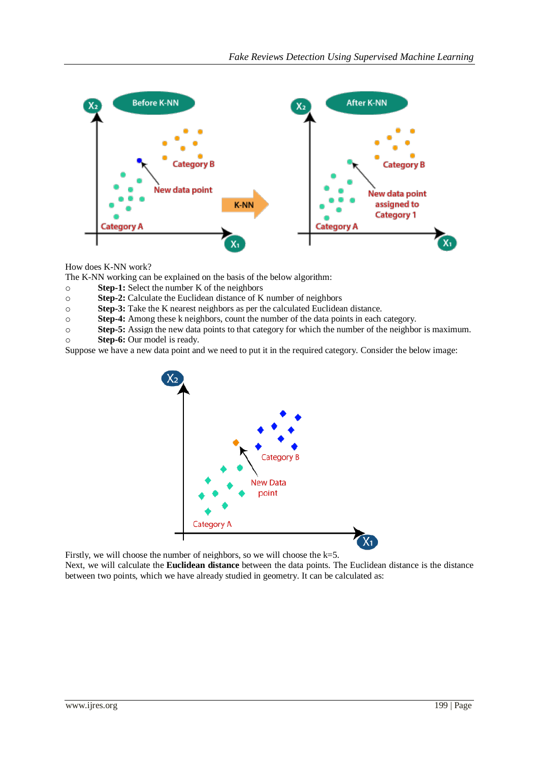

# How does K-NN work?

The K-NN working can be explained on the basis of the below algorithm:

- o **Step-1:** Select the number K of the neighbors
- o **Step-2:** Calculate the Euclidean distance of K number of neighbors
- o **Step-3:** Take the K nearest neighbors as per the calculated Euclidean distance.
- o **Step-4:** Among these k neighbors, count the number of the data points in each category.
- o **Step-5:** Assign the new data points to that category for which the number of the neighbor is maximum.
- o **Step-6:** Our model is ready.

Suppose we have a new data point and we need to put it in the required category. Consider the below image:



Firstly, we will choose the number of neighbors, so we will choose the k=5.

Next, we will calculate the **Euclidean distance** between the data points. The Euclidean distance is the distance between two points, which we have already studied in geometry. It can be calculated as: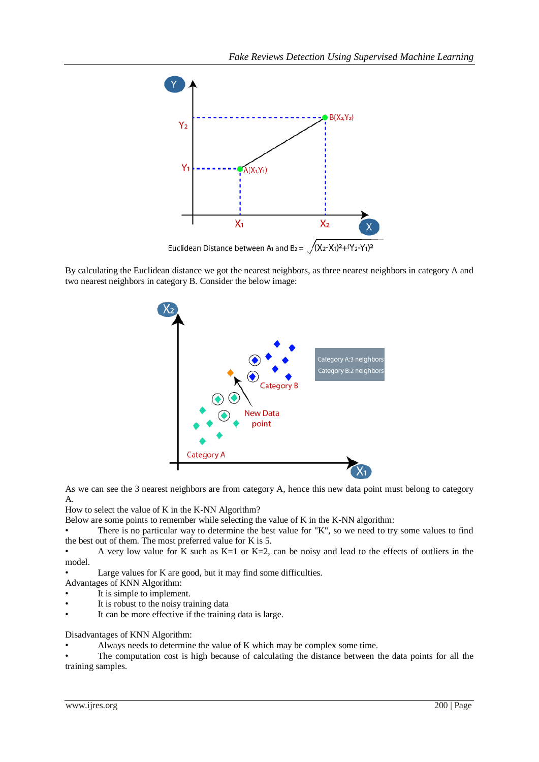

By calculating the Euclidean distance we got the nearest neighbors, as three nearest neighbors in category A and two nearest neighbors in category B. Consider the below image:



As we can see the 3 nearest neighbors are from category A, hence this new data point must belong to category A.

How to select the value of K in the K-NN Algorithm?

Below are some points to remember while selecting the value of K in the K-NN algorithm:

• There is no particular way to determine the best value for "K", so we need to try some values to find the best out of them. The most preferred value for K is 5.

• A very low value for K such as K=1 or K=2, can be noisy and lead to the effects of outliers in the model.

Large values for K are good, but it may find some difficulties.

- Advantages of KNN Algorithm:
- It is simple to implement.
- It is robust to the noisy training data
- It can be more effective if the training data is large.

Disadvantages of KNN Algorithm:

• Always needs to determine the value of K which may be complex some time.

The computation cost is high because of calculating the distance between the data points for all the training samples.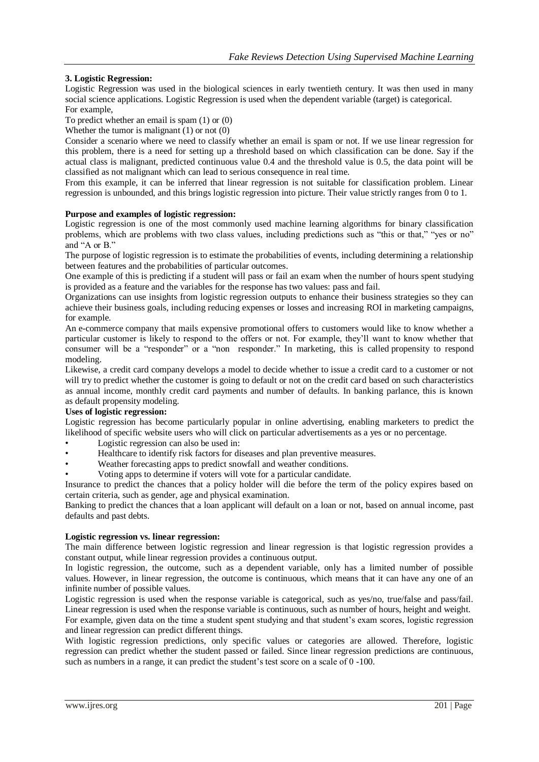# **3. Logistic Regression:**

Logistic Regression was used in the biological sciences in early twentieth century. It was then used in many social science applications. Logistic Regression is used when the dependent variable (target) is categorical. For example,

To predict whether an email is spam (1) or (0)

Whether the tumor is malignant (1) or not (0)

Consider a scenario where we need to classify whether an email is spam or not. If we use linear regression for this problem, there is a need for setting up a threshold based on which classification can be done. Say if the actual class is malignant, predicted continuous value 0.4 and the threshold value is 0.5, the data point will be classified as not malignant which can lead to serious consequence in real time.

From this example, it can be inferred that linear regression is not suitable for classification problem. Linear regression is unbounded, and this brings logistic regression into picture. Their value strictly ranges from 0 to 1.

# **Purpose and examples of logistic regression:**

Logistic regression is one of the most commonly used machine learning algorithms for binary classification problems, which are problems with two class values, including predictions such as "this or that," "yes or no" and "A or B."

The purpose of logistic regression is to estimate the probabilities of events, including determining a relationship between features and the probabilities of particular outcomes.

One example of this is predicting if a student will pass or fail an exam when the number of hours spent studying is provided as a feature and the variables for the response has two values: pass and fail.

Organizations can use insights from logistic regression outputs to enhance their business strategies so they can achieve their business goals, including reducing expenses or losses and increasing [ROI](https://searchcio.techtarget.com/definition/ROI) in marketing campaigns, for example.

An [e-commerce](https://searchcio.techtarget.com/definition/e-commerce) company that mails expensive promotional offers to customers would like to know whether a particular customer is likely to respond to the offers or not. For example, they'll want to know whether that consumer will be a "responder" or a "non responder." In marketing, this is called propensity to respond modeling.

Likewise, a credit card company develops a model to decide whether to issue a credit card to a customer or not will try to predict whether the customer is going to default or not on the credit card based on such characteristics as annual income, monthly credit card payments and number of defaults. In banking parlance, this is known as default propensity modeling.

# **Uses of logistic regression:**

Logistic regression has become particularly popular in online advertising, enabling marketers to predict the likelihood of specific website users who will click on particular advertisements as a yes or no percentage.

- Logistic regression can also be used in:
- Healthcare to identify risk factors for diseases and plan preventive measures.
- Weather forecasting [apps](https://searchsoftwarequality.techtarget.com/definition/application) to predict snowfall and weather conditions.
- Voting apps to determine if voters will vote for a particular candidate.

Insurance to predict the chances that a policy holder will die before the term of the policy expires based on certain criteria, such as gender, age and physical examination.

Banking to predict the chances that a loan applicant will default on a loan or not, based on annual income, past defaults and past debts.

# **Logistic regression vs. linear regression:**

The main difference between logistic regression and linear regression is that logistic regression provides a constant output, while linear regression provides a continuous output.

In logistic regression, the outcome, such as a dependent variable, only has a limited number of possible values. However, in linear regression, the outcome is continuous, which means that it can have any one of an infinite number of possible values.

Logistic regression is used when the response variable is categorical, such as yes/no, true/false and pass/fail. Linear regression is used when the response variable is continuous, such as number of hours, height and weight.

For example, given data on the time a student spent studying and that student's exam scores, logistic regression and linear regression can predict different things.

With logistic regression predictions, only specific values or categories are allowed. Therefore, logistic regression can predict whether the student passed or failed. Since linear regression predictions are continuous, such as numbers in a range, it can predict the student's test score on a scale of 0 -100.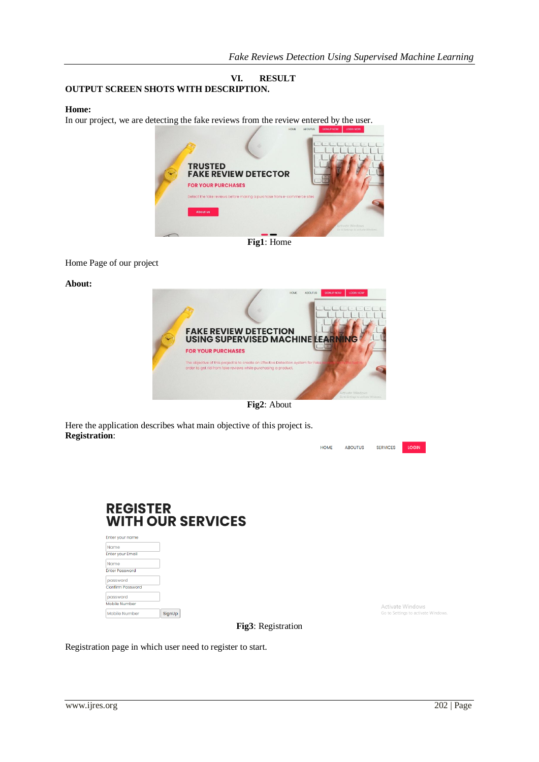# **VI. RESULT OUTPUT SCREEN SHOTS WITH DESCRIPTION.**

# **Home:**

In our project, we are detecting the fake reviews from the review entered by the user.





Home Page of our project

# **About:**



**Fig2**: About

Here the application describes what main objective of this project is. **Registration**:

> **HOME** ABOUTUS **SERVICES**

LOGIN

Activate Windows Go to Settings to activate Windows

# **REGISTER WITH OUR SERVICES**

| SignUp |
|--------|
|        |

**Fig3**: Registration

Registration page in which user need to register to start.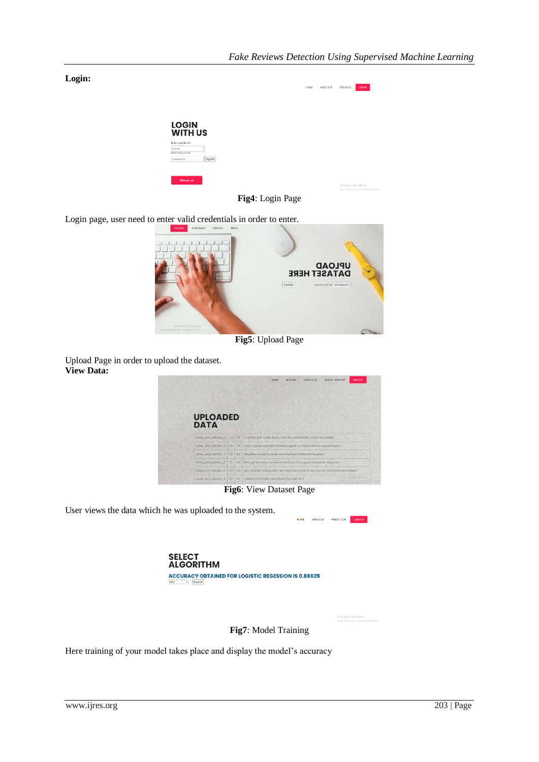# *Fake Reviews Detection Using Supervised Machine Learning*

ABOUTUS SERVICES LOGIN

# **Login:**



**Fig4**: Login Page

Login page, user need to enter valid credentials in order to enter.



**Fig5**: Upload Page

Upload Page in order to upload the dataset. **View Data:**

|                    |     |     | UPLOAD<br>HOME<br><b>VIEW DATA</b>                                                    | LOGOUT<br>MODEL TRAINING                              |
|--------------------|-----|-----|---------------------------------------------------------------------------------------|-------------------------------------------------------|
|                    |     |     |                                                                                       |                                                       |
|                    |     |     |                                                                                       |                                                       |
|                    |     |     |                                                                                       |                                                       |
|                    |     |     |                                                                                       |                                                       |
| <b>UPLOADED</b>    |     |     |                                                                                       |                                                       |
| <b>DATA</b>        |     |     |                                                                                       |                                                       |
|                    |     |     |                                                                                       |                                                       |
| Home_and_kitchen_5 | 5.0 | CG  | Love this! Well made, sturdy, and very comfortable. Have it!Very pretty               |                                                       |
| Home_and_Kitchen_5 | 5.0 | co  | love it, a great upgrade from the ariginal. I've had mine for a couple of years       |                                                       |
| Home_and_kitchen_5 | 5.0 | CG. | This pillow saved my back. Hove the look and feel of this pillow.                     |                                                       |
| Home_and_Kitchen_5 | 1.0 | CG  | Missing information on how to use it, but it is a great product for the price! I      |                                                       |
| Home_and_kitchen_5 | 5.0 | CG  | Very nice set. Good quality. We have had the set for two months now and have not been |                                                       |
| Home and Kitchen 5 | 3.0 | CO  | <b>I WANTED DIFFERENT FLAVORS BUT THEY ARE NOT.</b>                                   | Artivate Windows<br>Go to Settings to activity Winnov |

**Fig6**: View Dataset Page

User views the data which he was uploaded to the system.

**SELECT ALGORITHM ACCURACY OBTAINED FOR LOGISTIC REGESSION IS 0.88625** 

Activate Windows<br>Go to Settings to activate

PREDICTION

**Fig7**: Model Training

Here training of your model takes place and display the model's accuracy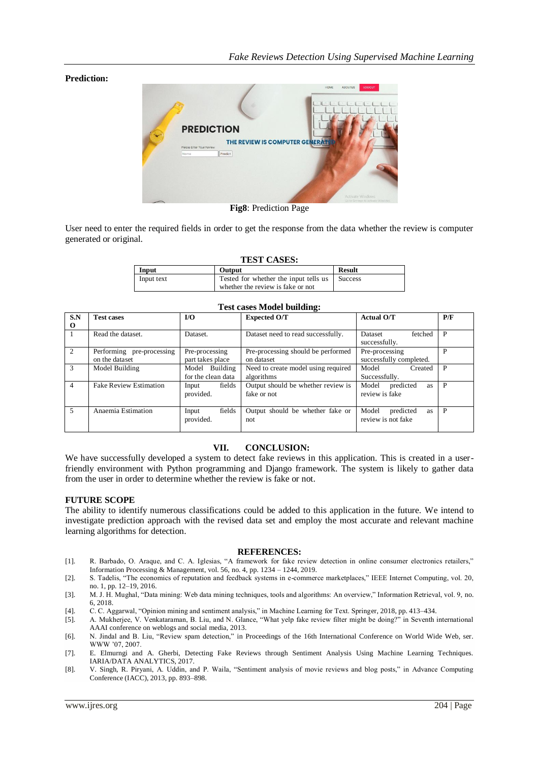# **Prediction:**



**Fig8**: Prediction Page

User need to enter the required fields in order to get the response from the data whether the review is computer generated or original.

#### **TEST CASES:**

| ------------ |                                                                            |                |  |  |  |  |
|--------------|----------------------------------------------------------------------------|----------------|--|--|--|--|
| Input        | <b>Output</b>                                                              | <b>Result</b>  |  |  |  |  |
| Input text   | Tested for whether the input tells us<br>whether the review is fake or not | <b>Success</b> |  |  |  |  |

#### **Test cases Model building:**

|                | -                                           |                                         |                                                   |                                                       |     |  |  |
|----------------|---------------------------------------------|-----------------------------------------|---------------------------------------------------|-------------------------------------------------------|-----|--|--|
| S.N            | <b>Test cases</b>                           | I/O                                     | <b>Expected O/T</b>                               | <b>Actual O/T</b>                                     | P/F |  |  |
| $\bf{0}$       |                                             |                                         |                                                   |                                                       |     |  |  |
|                | Read the dataset.                           | Dataset.                                | Dataset need to read successfully.                | Dataset<br>fetched<br>successfully.                   | P   |  |  |
| $\mathfrak{D}$ | Performing pre-processing<br>on the dataset | Pre-processing<br>part takes place      | Pre-processing should be performed<br>on dataset  | Pre-processing<br>successfully completed.             | P   |  |  |
| $\mathcal{R}$  | Model Building                              | Building<br>Model<br>for the clean data | Need to create model using required<br>algorithms | Model<br>Created<br>Successfully.                     | P   |  |  |
| $\overline{4}$ | <b>Fake Review Estimation</b>               | fields<br>Input<br>provided.            | Output should be whether review is<br>fake or not | Model<br>predicted<br><b>as</b><br>review is fake     | P   |  |  |
|                | Anaemia Estimation                          | fields<br>Input<br>provided.            | Output should be whether fake or<br>not           | Model<br>predicted<br><b>as</b><br>review is not fake | P   |  |  |

## **VII. CONCLUSION:**

We have successfully developed a system to detect fake reviews in this application. This is created in a userfriendly environment with Python programming and Django framework. The system is likely to gather data from the user in order to determine whether the review is fake or not.

# **FUTURE SCOPE**

The ability to identify numerous classifications could be added to this application in the future. We intend to investigate prediction approach with the revised data set and employ the most accurate and relevant machine learning algorithms for detection.

## **REFERENCES:**

- [1]. R. Barbado, O. Araque, and C. A. Iglesias, "A framework for fake review detection in online consumer electronics retailers," Information Processing & Management, vol. 56, no. 4, pp. 1234 – 1244, 2019.
- [2]. S. Tadelis, "The economics of reputation and feedback systems in e-commerce marketplaces," IEEE Internet Computing, vol. 20, no. 1, pp. 12–19, 2016.
- [3]. M. J. H. Mughal, "Data mining: Web data mining techniques, tools and algorithms: An overview," Information Retrieval, vol. 9, no. 6, 2018.
- [4]. C. C. Aggarwal, "Opinion mining and sentiment analysis," in Machine Learning for Text. Springer, 2018, pp. 413–434.
- [5]. A. Mukherjee, V. Venkataraman, B. Liu, and N. Glance, "What yelp fake review filter might be doing?" in Seventh international AAAI conference on weblogs and social media, 2013.
- [6]. N. Jindal and B. Liu, "Review spam detection," in Proceedings of the 16th International Conference on World Wide Web, ser. WWW '07, 2007.
- [7]. E. Elmurngi and A. Gherbi, Detecting Fake Reviews through Sentiment Analysis Using Machine Learning Techniques. IARIA/DATA ANALYTICS, 2017.
- [8]. V. Singh, R. Piryani, A. Uddin, and P. Waila, "Sentiment analysis of movie reviews and blog posts," in Advance Computing Conference (IACC), 2013, pp. 893–898.